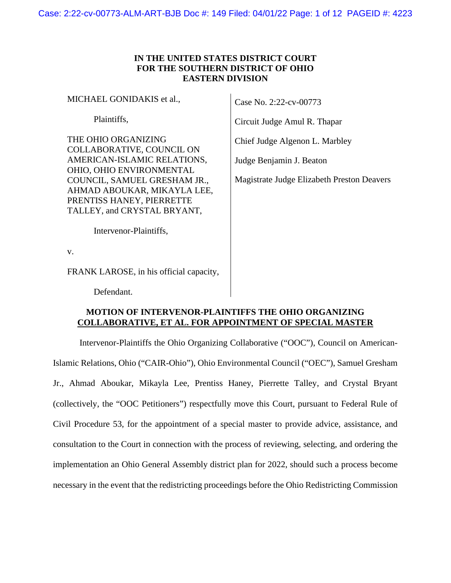# **IN THE UNITED STATES DISTRICT COURT FOR THE SOUTHERN DISTRICT OF OHIO EASTERN DIVISION**

MICHAEL GONIDAKIS et al.,

Plaintiffs,

THE OHIO ORGANIZING COLLABORATIVE, COUNCIL ON AMERICAN-ISLAMIC RELATIONS, OHIO, OHIO ENVIRONMENTAL COUNCIL, SAMUEL GRESHAM JR., AHMAD ABOUKAR, MIKAYLA LEE, PRENTISS HANEY, PIERRETTE TALLEY, and CRYSTAL BRYANT,

Intervenor-Plaintiffs,

v.

FRANK LAROSE, in his official capacity,

Defendant.

Case No. 2:22-cv-00773

Circuit Judge Amul R. Thapar

Chief Judge Algenon L. Marbley

Judge Benjamin J. Beaton

Magistrate Judge Elizabeth Preston Deavers

## **MOTION OF INTERVENOR-PLAINTIFFS THE OHIO ORGANIZING COLLABORATIVE, ET AL. FOR APPOINTMENT OF SPECIAL MASTER**

Intervenor-Plaintiffs the Ohio Organizing Collaborative ("OOC"), Council on American-Islamic Relations, Ohio ("CAIR-Ohio"), Ohio Environmental Council ("OEC"), Samuel Gresham Jr., Ahmad Aboukar, Mikayla Lee, Prentiss Haney, Pierrette Talley, and Crystal Bryant (collectively, the "OOC Petitioners") respectfully move this Court, pursuant to Federal Rule of Civil Procedure 53, for the appointment of a special master to provide advice, assistance, and consultation to the Court in connection with the process of reviewing, selecting, and ordering the implementation an Ohio General Assembly district plan for 2022, should such a process become necessary in the event that the redistricting proceedings before the Ohio Redistricting Commission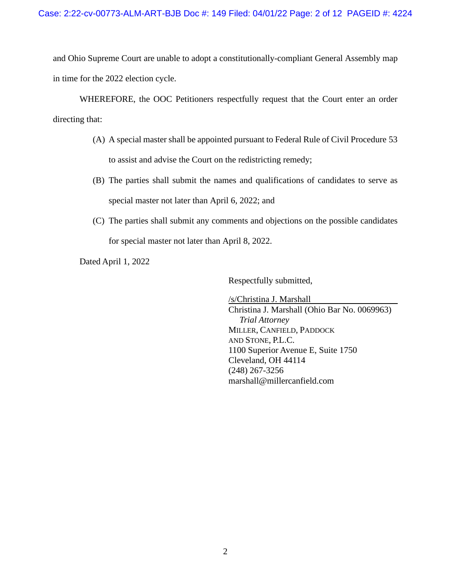and Ohio Supreme Court are unable to adopt a constitutionally-compliant General Assembly map in time for the 2022 election cycle.

WHEREFORE, the OOC Petitioners respectfully request that the Court enter an order directing that:

- (A) A special master shall be appointed pursuant to Federal Rule of Civil Procedure 53 to assist and advise the Court on the redistricting remedy;
- (B) The parties shall submit the names and qualifications of candidates to serve as special master not later than April 6, 2022; and
- (C) The parties shall submit any comments and objections on the possible candidates for special master not later than April 8, 2022.

Dated April 1, 2022

Respectfully submitted,

/s/Christina J. Marshall Christina J. Marshall (Ohio Bar No. 0069963)  *Trial Attorney*  MILLER, CANFIELD, PADDOCK AND STONE, P.L.C. 1100 Superior Avenue E, Suite 1750 Cleveland, OH 44114 (248) 267-3256 marshall@millercanfield.com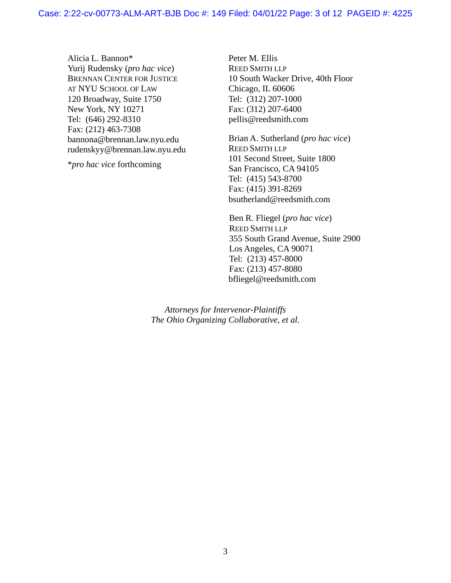Alicia L. Bannon\* Yurij Rudensky (*pro hac vice*) BRENNAN CENTER FOR JUSTICE AT NYU SCHOOL OF LAW 120 Broadway, Suite 1750 New York, NY 10271 Tel: (646) 292-8310 Fax: (212) 463-7308 bannona@brennan.law.nyu.edu rudenskyy@brennan.law.nyu.edu

\**pro hac vice* forthcoming

Peter M. Ellis REED SMITH LLP 10 South Wacker Drive, 40th Floor Chicago, IL 60606 Tel: (312) 207-1000 Fax: (312) 207-6400 pellis@reedsmith.com

Brian A. Sutherland (*pro hac vice*) REED SMITH LLP 101 Second Street, Suite 1800 San Francisco, CA 94105 Tel: (415) 543-8700 Fax: (415) 391-8269 bsutherland@reedsmith.com

Ben R. Fliegel (*pro hac vice*) REED SMITH LLP 355 South Grand Avenue, Suite 2900 Los Angeles, CA 90071 Tel: (213) 457-8000 Fax: (213) 457-8080 bfliegel@reedsmith.com

*Attorneys for Intervenor-Plaintiffs The Ohio Organizing Collaborative, et al.*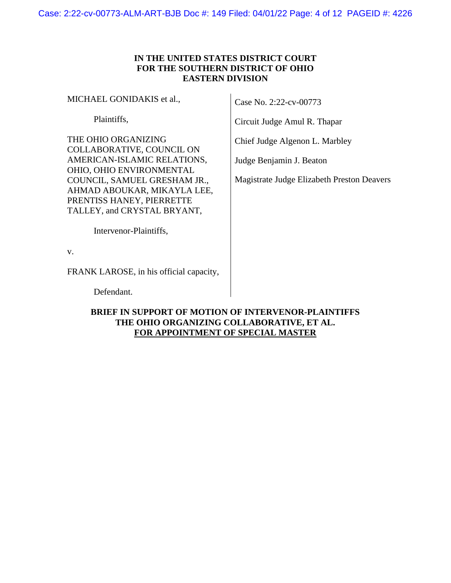# **IN THE UNITED STATES DISTRICT COURT FOR THE SOUTHERN DISTRICT OF OHIO EASTERN DIVISION**

MICHAEL GONIDAKIS et al.,

Plaintiffs,

THE OHIO ORGANIZING COLLABORATIVE, COUNCIL ON AMERICAN-ISLAMIC RELATIONS, OHIO, OHIO ENVIRONMENTAL COUNCIL, SAMUEL GRESHAM JR., AHMAD ABOUKAR, MIKAYLA LEE, PRENTISS HANEY, PIERRETTE TALLEY, and CRYSTAL BRYANT,

Intervenor-Plaintiffs,

v.

FRANK LAROSE, in his official capacity,

Defendant.

# **BRIEF IN SUPPORT OF MOTION OF INTERVENOR-PLAINTIFFS THE OHIO ORGANIZING COLLABORATIVE, ET AL. FOR APPOINTMENT OF SPECIAL MASTER**

Case No. 2:22-cv-00773

Circuit Judge Amul R. Thapar

Chief Judge Algenon L. Marbley

Judge Benjamin J. Beaton

Magistrate Judge Elizabeth Preston Deavers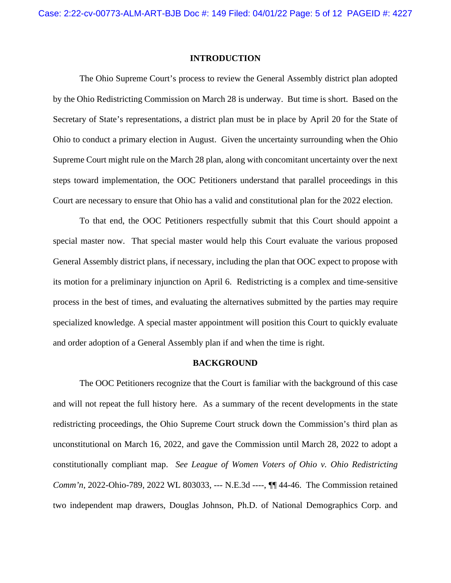## **INTRODUCTION**

The Ohio Supreme Court's process to review the General Assembly district plan adopted by the Ohio Redistricting Commission on March 28 is underway. But time is short. Based on the Secretary of State's representations, a district plan must be in place by April 20 for the State of Ohio to conduct a primary election in August. Given the uncertainty surrounding when the Ohio Supreme Court might rule on the March 28 plan, along with concomitant uncertainty over the next steps toward implementation, the OOC Petitioners understand that parallel proceedings in this Court are necessary to ensure that Ohio has a valid and constitutional plan for the 2022 election.

To that end, the OOC Petitioners respectfully submit that this Court should appoint a special master now. That special master would help this Court evaluate the various proposed General Assembly district plans, if necessary, including the plan that OOC expect to propose with its motion for a preliminary injunction on April 6. Redistricting is a complex and time-sensitive process in the best of times, and evaluating the alternatives submitted by the parties may require specialized knowledge. A special master appointment will position this Court to quickly evaluate and order adoption of a General Assembly plan if and when the time is right.

#### **BACKGROUND**

The OOC Petitioners recognize that the Court is familiar with the background of this case and will not repeat the full history here. As a summary of the recent developments in the state redistricting proceedings, the Ohio Supreme Court struck down the Commission's third plan as unconstitutional on March 16, 2022, and gave the Commission until March 28, 2022 to adopt a constitutionally compliant map. *See League of Women Voters of Ohio v. Ohio Redistricting Comm'n*, 2022-Ohio-789, 2022 WL 803033, --- N.E.3d ----,  $\P$  44-46. The Commission retained two independent map drawers, Douglas Johnson, Ph.D. of National Demographics Corp. and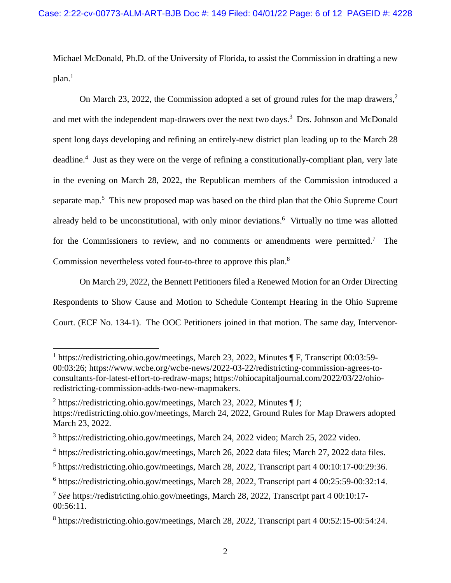Michael McDonald, Ph.D. of the University of Florida, to assist the Commission in drafting a new  $plan.<sup>1</sup>$  $plan.<sup>1</sup>$  $plan.<sup>1</sup>$ 

On March [2](#page-5-1)3, 2022, the Commission adopted a set of ground rules for the map drawers,<sup>2</sup> andmet with the independent map-drawers over the next two days.<sup>3</sup> Drs. Johnson and McDonald spent long days developing and refining an entirely-new district plan leading up to the March 28 deadline.<sup>[4](#page-5-3)</sup> Just as they were on the verge of refining a constitutionally-compliant plan, very late in the evening on March 28, 2022, the Republican members of the Commission introduced a separate map.<sup>[5](#page-5-4)</sup> This new proposed map was based on the third plan that the Ohio Supreme Court already held to be unconstitutional, with only minor deviations.<sup>[6](#page-5-5)</sup> Virtually no time was allotted for the Commissioners to review, and no comments or amendments were permitted.<sup>[7](#page-5-6)</sup> The Commission nevertheless voted four-to-three to approve this plan.<sup>[8](#page-5-7)</sup>

On March 29, 2022, the Bennett Petitioners filed a Renewed Motion for an Order Directing Respondents to Show Cause and Motion to Schedule Contempt Hearing in the Ohio Supreme Court. (ECF No. 134-1). The OOC Petitioners joined in that motion. The same day, Intervenor-

<span id="page-5-0"></span><sup>&</sup>lt;sup>1</sup> https://redistricting.ohio.gov/meetings, March 23, 2022, Minutes ¶ F, Transcript 00:03:59-00:03:26; https://www.wcbe.org/wcbe-news/2022-03-22/redistricting-commission-agrees-toconsultants-for-latest-effort-to-redraw-maps; https://ohiocapitaljournal.com/2022/03/22/ohioredistricting-commission-adds-two-new-mapmakers.

<span id="page-5-1"></span><sup>&</sup>lt;sup>2</sup> https://redistricting.ohio.gov/meetings, March 23, 2022, Minutes  $\P$  J; https://redistricting.ohio.gov/meetings, March 24, 2022, Ground Rules for Map Drawers adopted March 23, 2022.

<span id="page-5-2"></span><sup>&</sup>lt;sup>3</sup> https://redistricting.ohio.gov/meetings, March 24, 2022 video; March 25, 2022 video.

<span id="page-5-3"></span><sup>&</sup>lt;sup>4</sup> https://redistricting.ohio.gov/meetings, March 26, 2022 data files; March 27, 2022 data files.

<span id="page-5-4"></span><sup>&</sup>lt;sup>5</sup> https://redistricting.ohio.gov/meetings, March 28, 2022, Transcript part 4 00:10:17-00:29:36.

<span id="page-5-5"></span><sup>6</sup> https://redistricting.ohio.gov/meetings, March 28, 2022, Transcript part 4 00:25:59-00:32:14.

<span id="page-5-6"></span><sup>7</sup> *See* https://redistricting.ohio.gov/meetings, March 28, 2022, Transcript part 4 00:10:17- 00:56:11.

<span id="page-5-7"></span><sup>8</sup> https://redistricting.ohio.gov/meetings, March 28, 2022, Transcript part 4 00:52:15-00:54:24.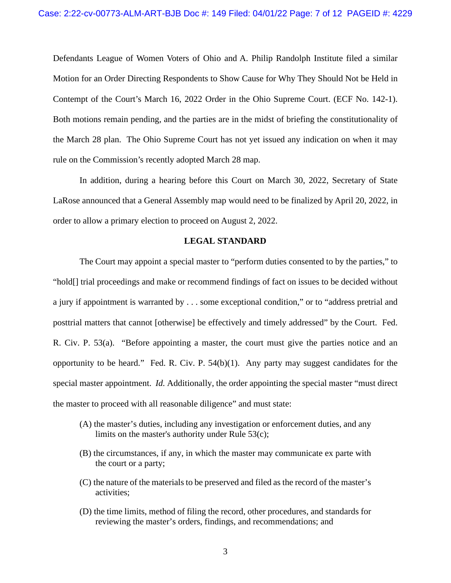Defendants League of Women Voters of Ohio and A. Philip Randolph Institute filed a similar Motion for an Order Directing Respondents to Show Cause for Why They Should Not be Held in Contempt of the Court's March 16, 2022 Order in the Ohio Supreme Court. (ECF No. 142-1). Both motions remain pending, and the parties are in the midst of briefing the constitutionality of the March 28 plan. The Ohio Supreme Court has not yet issued any indication on when it may rule on the Commission's recently adopted March 28 map.

In addition, during a hearing before this Court on March 30, 2022, Secretary of State LaRose announced that a General Assembly map would need to be finalized by April 20, 2022, in order to allow a primary election to proceed on August 2, 2022.

## **LEGAL STANDARD**

The Court may appoint a special master to "perform duties consented to by the parties," to "hold[] trial proceedings and make or recommend findings of fact on issues to be decided without a jury if appointment is warranted by . . . some exceptional condition," or to "address pretrial and posttrial matters that cannot [otherwise] be effectively and timely addressed" by the Court. Fed. R. Civ. P. 53(a). "Before appointing a master, the court must give the parties notice and an opportunity to be heard." Fed. R. Civ. P. 54(b)(1). Any party may suggest candidates for the special master appointment. *Id.* Additionally, the order appointing the special master "must direct the master to proceed with all reasonable diligence" and must state:

- (A) the master's duties, including any investigation or enforcement duties, and any limits on the master's authority under Rule 53(c);
- (B) the circumstances, if any, in which the master may communicate ex parte with the court or a party;
- (C) the nature of the materials to be preserved and filed as the record of the master's activities;
- (D) the time limits, method of filing the record, other procedures, and standards for reviewing the master's orders, findings, and recommendations; and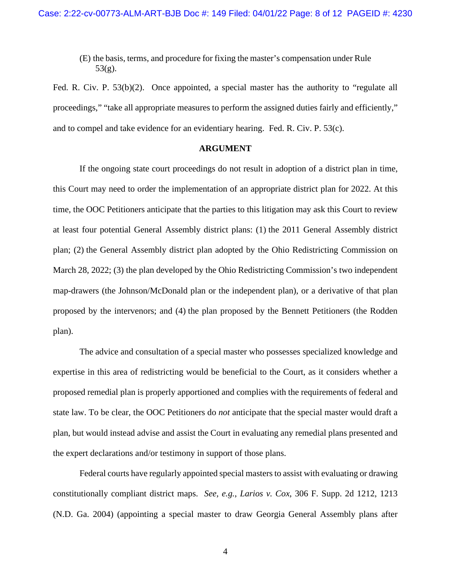(E) the basis, terms, and procedure for fixing the master's compensation under Rule 53(g).

Fed. R. Civ. P. 53(b)(2). Once appointed, a special master has the authority to "regulate all proceedings," "take all appropriate measures to perform the assigned duties fairly and efficiently," and to compel and take evidence for an evidentiary hearing. Fed. R. Civ. P. 53(c).

## **ARGUMENT**

If the ongoing state court proceedings do not result in adoption of a district plan in time, this Court may need to order the implementation of an appropriate district plan for 2022. At this time, the OOC Petitioners anticipate that the parties to this litigation may ask this Court to review at least four potential General Assembly district plans: (1) the 2011 General Assembly district plan; (2) the General Assembly district plan adopted by the Ohio Redistricting Commission on March 28, 2022; (3) the plan developed by the Ohio Redistricting Commission's two independent map-drawers (the Johnson/McDonald plan or the independent plan), or a derivative of that plan proposed by the intervenors; and (4) the plan proposed by the Bennett Petitioners (the Rodden plan).

The advice and consultation of a special master who possesses specialized knowledge and expertise in this area of redistricting would be beneficial to the Court, as it considers whether a proposed remedial plan is properly apportioned and complies with the requirements of federal and state law. To be clear, the OOC Petitioners do *not* anticipate that the special master would draft a plan, but would instead advise and assist the Court in evaluating any remedial plans presented and the expert declarations and/or testimony in support of those plans.

Federal courts have regularly appointed special masters to assist with evaluating or drawing constitutionally compliant district maps. *See, e.g.*, *Larios v. Cox*, 306 F. Supp. 2d 1212, 1213 (N.D. Ga. 2004) (appointing a special master to draw Georgia General Assembly plans after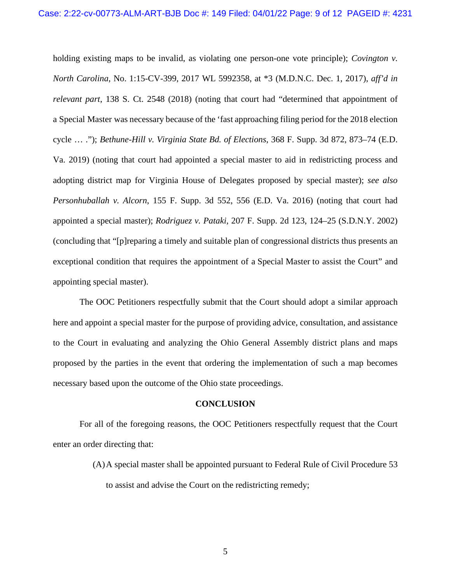holding existing maps to be invalid, as violating one person-one vote principle); *Covington v. North Carolina*, No. 1:15-CV-399, 2017 WL 5992358, at \*3 (M.D.N.C. Dec. 1, 2017), *aff'd in relevant part*, 138 S. Ct. 2548 (2018) (noting that court had "determined that appointment of a Special Master was necessary because of the 'fast approaching filing period for the 2018 election cycle … ."); *Bethune-Hill v. Virginia State Bd. of Elections*, 368 F. Supp. 3d 872, 873–74 (E.D. Va. 2019) (noting that court had appointed a special master to aid in redistricting process and adopting district map for Virginia House of Delegates proposed by special master); *see also Personhuballah v. Alcorn*, 155 F. Supp. 3d 552, 556 (E.D. Va. 2016) (noting that court had appointed a special master); *Rodriguez v. Pataki*, 207 F. Supp. 2d 123, 124–25 (S.D.N.Y. 2002) (concluding that "[p]reparing a timely and suitable plan of congressional districts thus presents an exceptional condition that requires the appointment of a Special Master to assist the Court" and appointing special master).

The OOC Petitioners respectfully submit that the Court should adopt a similar approach here and appoint a special master for the purpose of providing advice, consultation, and assistance to the Court in evaluating and analyzing the Ohio General Assembly district plans and maps proposed by the parties in the event that ordering the implementation of such a map becomes necessary based upon the outcome of the Ohio state proceedings.

#### **CONCLUSION**

For all of the foregoing reasons, the OOC Petitioners respectfully request that the Court enter an order directing that:

> (A)A special master shall be appointed pursuant to Federal Rule of Civil Procedure 53 to assist and advise the Court on the redistricting remedy;

> > 5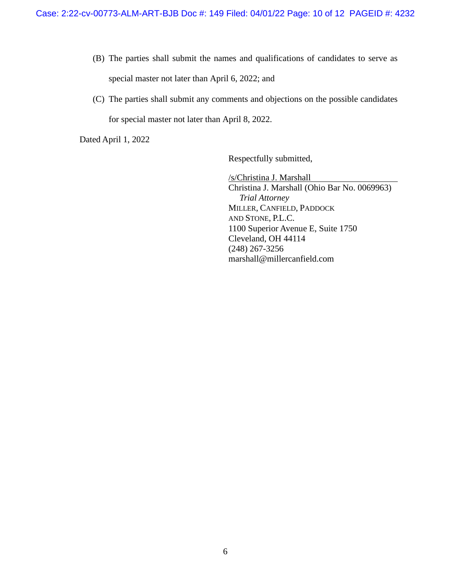- (B) The parties shall submit the names and qualifications of candidates to serve as special master not later than April 6, 2022; and
- (C) The parties shall submit any comments and objections on the possible candidates for special master not later than April 8, 2022.

Dated April 1, 2022

Respectfully submitted,

/s/Christina J. Marshall Christina J. Marshall (Ohio Bar No. 0069963)  *Trial Attorney*  MILLER, CANFIELD, PADDOCK AND STONE, P.L.C. 1100 Superior Avenue E, Suite 1750 Cleveland, OH 44114 (248) 267-3256 marshall@millercanfield.com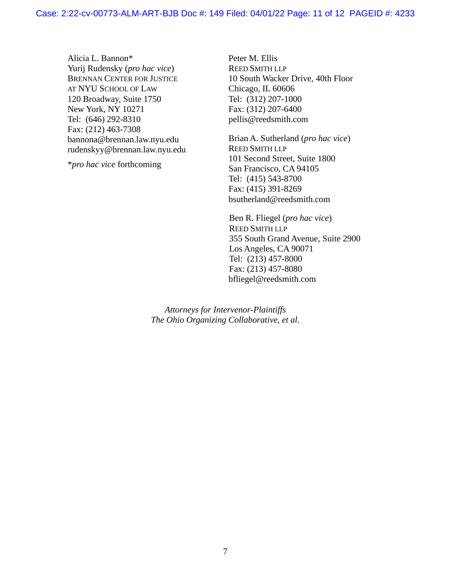Alicia L. Bannon\* Yurij Rudensky (*pro hac vice*) BRENNAN CENTER FOR JUSTICE AT NYU SCHOOL OF LAW 120 Broadway, Suite 1750 New York, NY 10271 Tel: (646) 292-8310 Fax: (212) 463-7308 bannona@brennan.law.nyu.edu rudenskyy@brennan.law.nyu.edu

\**pro hac vice* forthcoming

Peter M. Ellis REED SMITH LLP 10 South Wacker Drive, 40th Floor Chicago, IL 60606 Tel: (312) 207-1000 Fax: (312) 207-6400 pellis@reedsmith.com

Brian A. Sutherland (*pro hac vice*) REED SMITH LLP 101 Second Street, Suite 1800 San Francisco, CA 94105 Tel: (415) 543-8700 Fax: (415) 391-8269 bsutherland@reedsmith.com

Ben R. Fliegel (*pro hac vice*) REED SMITH LLP 355 South Grand Avenue, Suite 2900 Los Angeles, CA 90071 Tel: (213) 457-8000 Fax: (213) 457-8080 bfliegel@reedsmith.com

*Attorneys for Intervenor-Plaintiffs The Ohio Organizing Collaborative, et al.*